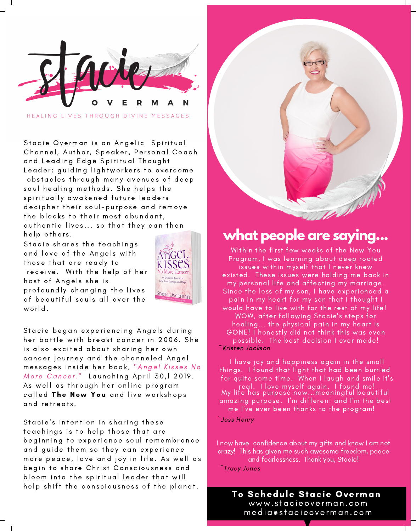

HEALING LIVES THROUGH DIVINE MESSAGES

Stacie [O](https://www.stacieoverman.com/)verman is an Angelic Spiritual Channel, Author, Speaker, Personal Coach and Leading Edge Spiritual Thought Leader; guiding lightworkers to overcome obstacles through many avenues of deep soul healing methods. She helps the spiritually awakened future leaders decipher their soul-purpose and remove the blocks to their most abundant, authentic lives... so that they can then

Stacie shares the teachings and love of the Angels with those that are ready to receive. With the help of her host of Angels she is profoundly changing the lives of b[e](https://www.stacieoverman.com/)qutiful souls all over the world.



Stacie began experiencing Angels during her battle with breast cancer in 2006. She is also excited about sharing her own cancer journey and the channeled Angel messages inside her book, "Angel Kisses No More Cancer." Launching April 30, 12019. As well as through her online program called The New [Yo](https://bit.ly/2VPDQSK)u and live workshops and retreats.

Stacie's intention in sharing these teachings is to help those that are beginning to experience soul remembrance and guide them so they can experience more peace, love and joy in life. As well as begin to share Christ Consciousness and bloom into the spiritual leader that will help shift the consciousness of the planet.



### help others. **what people are saying...**

~Kristen Jackson Within the first few weeks of the New You Program, I was learning about deep rooted issues within myself that I never knew existed. These issues were holding me back in my personal life and affecting my marriage. Since the loss of my son, I have experienced a pain in my heart for my son that I thought I would have to live with for the rest of my life! WOW, after following Stacie's steps for healing... the physical pain in my heart is GONE! I honestly did not think this was even possible. The best decision I ever made!

I have joy and happiness again in the small things. I found that light that had been burried for quite some time. When I laugh and smile it's real. I love myself again. I found me! My life has purpose now...meaningful beautiful amazing purpose. I'm different and I'm the best me I've ever been thanks to the program!

~Jess Henry

I now have confidence about my gifts and know I am not crazy! This has given me such awesome freedom, peace and fearlessness. Thank you, Stacie!

~Tracy Jones

To Schedule Stacie Overman www. s [tacieoverman.com](https://www.stacieoverman.com/) media@s tacieoverman.com